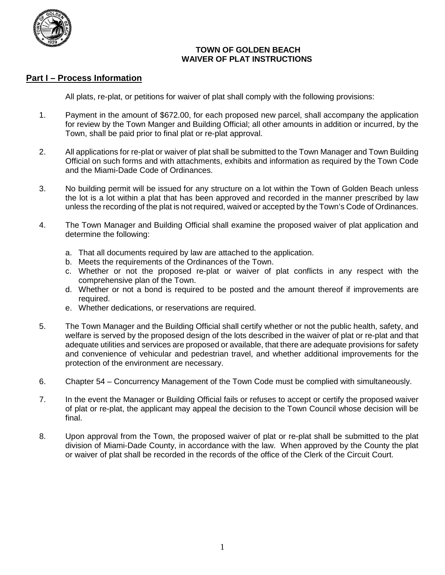

# **TOWN OF GOLDEN BEACH WAIVER OF PLAT INSTRUCTIONS**

# **Part I – Process Information**

All plats, re-plat, or petitions for waiver of plat shall comply with the following provisions:

- 1. Payment in the amount of \$672.00, for each proposed new parcel, shall accompany the application for review by the Town Manger and Building Official; all other amounts in addition or incurred, by the Town, shall be paid prior to final plat or re-plat approval.
- 2. All applications for re-plat or waiver of plat shall be submitted to the Town Manager and Town Building Official on such forms and with attachments, exhibits and information as required by the Town Code and the Miami-Dade Code of Ordinances.
- 3. No building permit will be issued for any structure on a lot within the Town of Golden Beach unless the lot is a lot within a plat that has been approved and recorded in the manner prescribed by law unless the recording of the plat is not required, waived or accepted by the Town's Code of Ordinances.
- 4. The Town Manager and Building Official shall examine the proposed waiver of plat application and determine the following:
	- a. That all documents required by law are attached to the application.
	- b. Meets the requirements of the Ordinances of the Town.
	- c. Whether or not the proposed re-plat or waiver of plat conflicts in any respect with the comprehensive plan of the Town.
	- d. Whether or not a bond is required to be posted and the amount thereof if improvements are required.
	- e. Whether dedications, or reservations are required.
- 5. The Town Manager and the Building Official shall certify whether or not the public health, safety, and welfare is served by the proposed design of the lots described in the waiver of plat or re-plat and that adequate utilities and services are proposed or available, that there are adequate provisions for safety and convenience of vehicular and pedestrian travel, and whether additional improvements for the protection of the environment are necessary.
- 6. Chapter 54 Concurrency Management of the Town Code must be complied with simultaneously.
- 7. In the event the Manager or Building Official fails or refuses to accept or certify the proposed waiver of plat or re-plat, the applicant may appeal the decision to the Town Council whose decision will be final.
- 8. Upon approval from the Town, the proposed waiver of plat or re-plat shall be submitted to the plat division of Miami-Dade County, in accordance with the law. When approved by the County the plat or waiver of plat shall be recorded in the records of the office of the Clerk of the Circuit Court.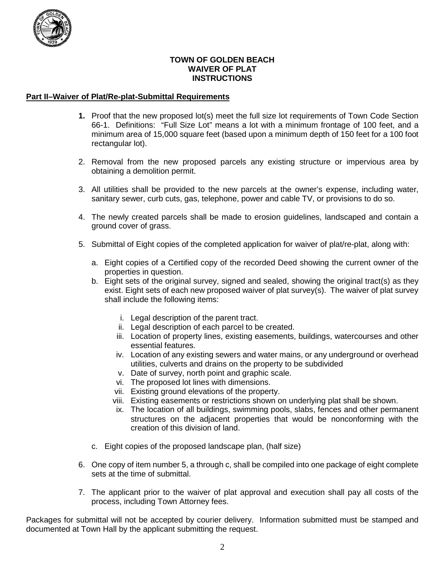

# **TOWN OF GOLDEN BEACH WAIVER OF PLAT INSTRUCTIONS**

### **Part II–Waiver of Plat/Re-plat-Submittal Requirements**

- **1.** Proof that the new proposed lot(s) meet the full size lot requirements of Town Code Section 66-1. Definitions: "Full Size Lot" means a lot with a minimum frontage of 100 feet, and a minimum area of 15,000 square feet (based upon a minimum depth of 150 feet for a 100 foot rectangular lot).
- 2. Removal from the new proposed parcels any existing structure or impervious area by obtaining a demolition permit.
- 3. All utilities shall be provided to the new parcels at the owner's expense, including water, sanitary sewer, curb cuts, gas, telephone, power and cable TV, or provisions to do so.
- 4. The newly created parcels shall be made to erosion guidelines, landscaped and contain a ground cover of grass.
- 5. Submittal of Eight copies of the completed application for waiver of plat/re-plat, along with:
	- a. Eight copies of a Certified copy of the recorded Deed showing the current owner of the properties in question.
	- b. Eight sets of the original survey, signed and sealed, showing the original tract(s) as they exist. Eight sets of each new proposed waiver of plat survey(s). The waiver of plat survey shall include the following items:
		- i. Legal description of the parent tract.
		- ii. Legal description of each parcel to be created.
		- iii. Location of property lines, existing easements, buildings, watercourses and other essential features.
		- iv. Location of any existing sewers and water mains, or any underground or overhead utilities, culverts and drains on the property to be subdivided
		- v. Date of survey, north point and graphic scale.
		- vi. The proposed lot lines with dimensions.
		- vii. Existing ground elevations of the property.
		- viii. Existing easements or restrictions shown on underlying plat shall be shown.
		- ix. The location of all buildings, swimming pools, slabs, fences and other permanent structures on the adjacent properties that would be nonconforming with the creation of this division of land.
	- c. Eight copies of the proposed landscape plan, (half size)
- 6. One copy of item number 5, a through c, shall be compiled into one package of eight complete sets at the time of submittal.
- 7. The applicant prior to the waiver of plat approval and execution shall pay all costs of the process, including Town Attorney fees.

Packages for submittal will not be accepted by courier delivery. Information submitted must be stamped and documented at Town Hall by the applicant submitting the request.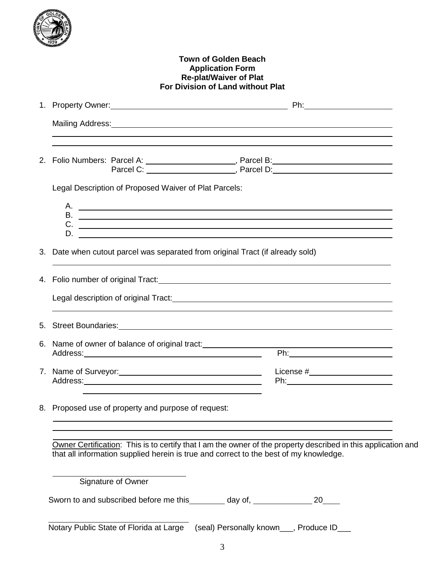

### **Town of Golden Beach Application Form Re-plat/Waiver of Plat For Division of Land without Plat**

| 1. |                                                                                                                                                                                                        |                                 |  |
|----|--------------------------------------------------------------------------------------------------------------------------------------------------------------------------------------------------------|---------------------------------|--|
|    | Mailing Address: Mail and Mail and Mail and Mailing Address: Mail and Mail and Mail and Mail and Mail and Mail                                                                                         |                                 |  |
|    |                                                                                                                                                                                                        |                                 |  |
|    | Legal Description of Proposed Waiver of Plat Parcels:                                                                                                                                                  |                                 |  |
|    |                                                                                                                                                                                                        |                                 |  |
| 3. | Date when cutout parcel was separated from original Tract (if already sold)                                                                                                                            |                                 |  |
|    | 4. Folio number of original Tract:<br>A. Folio number of original Tract:                                                                                                                               |                                 |  |
|    | Legal description of original Tract: <b>All any of the Contract of Contract Contract of Contract Contract Contract</b>                                                                                 |                                 |  |
|    |                                                                                                                                                                                                        |                                 |  |
|    | 6. Name of owner of balance of original tract:<br>Address: Address:                                                                                                                                    |                                 |  |
|    |                                                                                                                                                                                                        | License #______________________ |  |
|    | 8. Proposed use of property and purpose of request:                                                                                                                                                    |                                 |  |
|    | Owner Certification: This is to certify that I am the owner of the property described in this application and<br>that all information supplied herein is true and correct to the best of my knowledge. |                                 |  |
|    | Signature of Owner                                                                                                                                                                                     |                                 |  |
|    |                                                                                                                                                                                                        |                                 |  |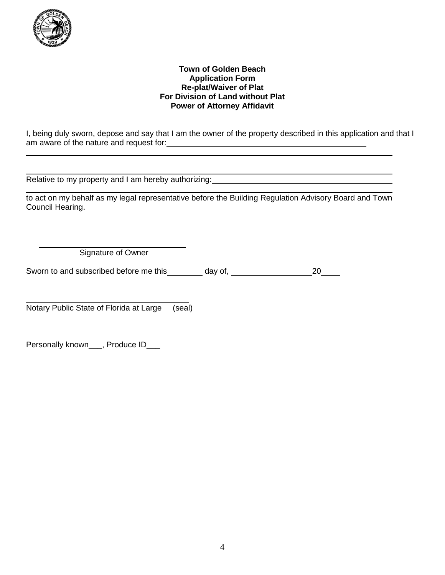

### **Town of Golden Beach Application Form Re-plat/Waiver of Plat For Division of Land without Plat Power of Attorney Affidavit**

I, being duly sworn, depose and say that I am the owner of the property described in this application and that I am aware of the nature and request for:

Relative to my property and I am hereby authorizing:<br>
Relative to my property and I am hereby authorizing:

to act on my behalf as my legal representative before the Building Regulation Advisory Board and Town Council Hearing.

Signature of Owner

Sworn to and subscribed before me this \_\_\_\_\_\_\_ day of, \_\_\_\_\_\_\_\_\_\_\_\_\_\_\_\_\_\_\_\_\_\_\_\_\_20\_\_\_\_\_

Notary Public State of Florida at Large (seal)

Personally known\_\_\_, Produce ID\_\_\_